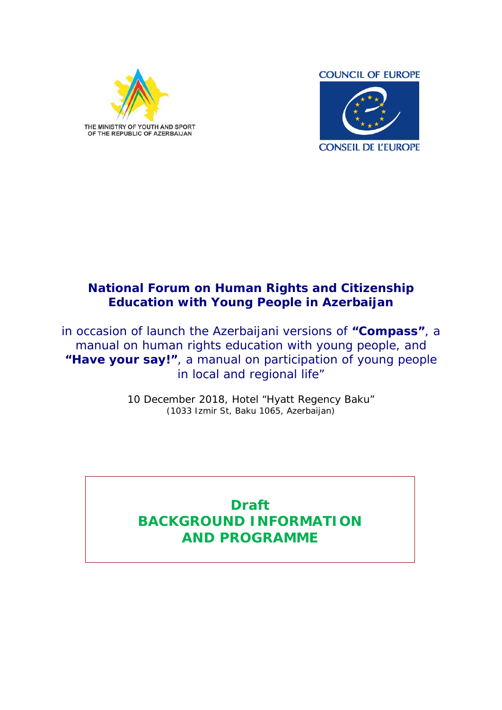



## **National Forum on Human Rights and Citizenship Education with Young People in Azerbaijan**

*in occasion of launch the Azerbaijani versions of "Compass", a manual on human rights education with young people, and "Have your say!", a manual on participation of young people in local and regional life"*

> 10 December 2018, Hotel "Hyatt Regency Baku" (1033 Izmir St, Baku 1065, Azerbaijan)

# **Draft BACKGROUND INFORMATION AND PROGRAMME**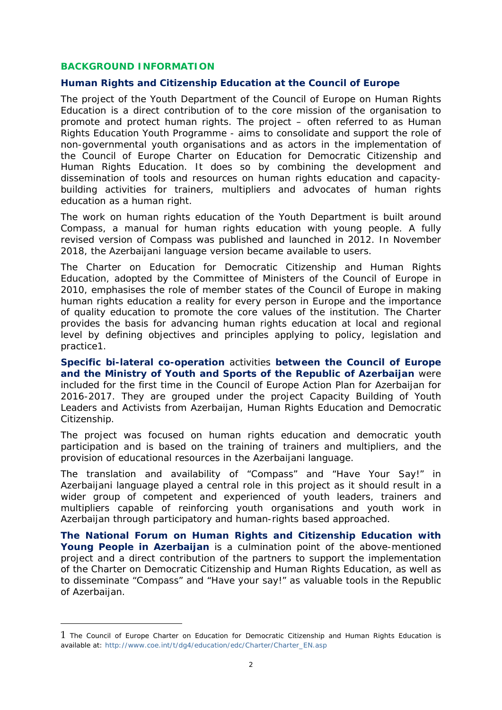#### **BACKGROUND INFORMATION**

<u>.</u>

#### **Human Rights and Citizenship Education at the Council of Europe**

The project of the Youth Department of the Council of Europe on Human Rights Education is a direct contribution of to the core mission of the organisation to promote and protect human rights. The project – often referred to as Human Rights Education Youth Programme - aims to consolidate and support the role of non-governmental youth organisations and as actors in the implementation of the Council of Europe Charter on Education for Democratic Citizenship and Human Rights Education. It does so by combining the development and dissemination of tools and resources on human rights education and capacitybuilding activities for trainers, multipliers and advocates of human rights education as a human right.

The work on human rights education of the Youth Department is built around Compass, a manual for human rights education with young people. A fully revised version of Compass was published and launched in 2012. In November 2018, the Azerbaijani language version became available to users.

The Charter on Education for Democratic Citizenship and Human Rights Education, adopted by the Committee of Ministers of the Council of Europe in 2010, emphasises the role of member states of the Council of Europe in making human rights education a reality for every person in Europe and the importance of quality education to promote the core values of the institution. The Charter provides the basis for advancing human rights education at local and regional level by defining objectives and principles applying to policy, legislation and practice1.

**Specific bi-lateral co-operation** activities **between the Council of Europe and the Ministry of Youth and Sports of the Republic of Azerbaijan** were included for the first time in the Council of Europe Action Plan for Azerbaijan for 2016-2017. They are grouped under the project Capacity Building of Youth Leaders and Activists from Azerbaijan, Human Rights Education and Democratic Citizenship.

The project was focused on human rights education and democratic youth participation and is based on the training of trainers and multipliers, and the provision of educational resources in the Azerbaijani language.

The translation and availability of "Compass" and "Have Your Say!" in Azerbaijani language played a central role in this project as it should result in a wider group of competent and experienced of youth leaders, trainers and multipliers capable of reinforcing youth organisations and youth work in Azerbaijan through participatory and human-rights based approached.

**The National Forum on Human Rights and Citizenship Education with Young People in Azerbaijan** is a culmination point of the above-mentioned project and a direct contribution of the partners to support the implementation of the Charter on Democratic Citizenship and Human Rights Education, as well as to disseminate "Compass" and "Have your say!" as valuable tools in the Republic of Azerbaijan.

<sup>1</sup> The Council of Europe Charter on Education for Democratic Citizenship and Human Rights Education is available at: http://www.coe.int/t/dg4/education/edc/Charter/Charter\_EN.asp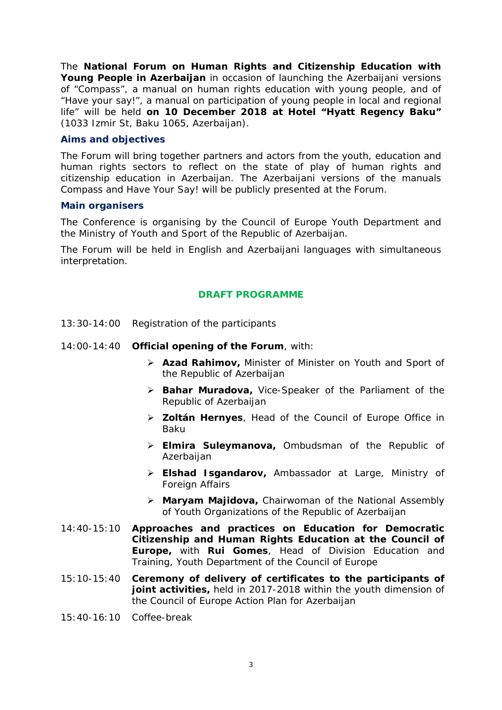The *National Forum on Human Rights and Citizenship Education with Young People in Azerbaijan* in occasion of launching the Azerbaijani versions of *"Compass"*, a manual on human rights education with young people, and of *"Have your say!",* a manual on participation of young people in local and regional life" will be held **on 10 December 2018 at Hotel "Hyatt Regency Baku"** (1033 Izmir St, Baku 1065, Azerbaijan).

#### **Aims and objectives**

The Forum will bring together partners and actors from the youth, education and human rights sectors to reflect on the state of play of human rights and citizenship education in Azerbaijan. The Azerbaijani versions of the manuals Compass and Have Your Say! will be publicly presented at the Forum.

#### **Main organisers**

The Conference is organising by the Council of Europe Youth Department and the Ministry of Youth and Sport of the Republic of Azerbaijan.

The Forum will be held in English and Azerbaijani languages with simultaneous interpretation.

### **DRAFT PROGRAMME**

- 13:30-14:00 Registration of the participants
- 14:00-14:40 **Official opening of the Forum**, *with*:
	- *Azad Rahimov, Minister of Minister on Youth and Sport of the Republic of Azerbaijan*
	- *Bahar Muradova, Vice-Speaker of the Parliament of the Republic of Azerbaijan*
	- *Zoltán Hernyes, Head of the Council of Europe Office in Baku*
	- *Elmira Suleymanova, Ombudsman of the Republic of Azerbaijan*
	- *Elshad Isgandarov, Ambassador at Large, Ministry of Foreign Affairs*
	- *Maryam Majidova, Chairwoman of the National Assembly of Youth Organizations of the Republic of Azerbaijan*
- 14:40-15:10 **Approaches and practices on Education for Democratic Citizenship and Human Rights Education at the Council of Europe,** *with Rui Gomes, Head of Division Education and Training, Youth Department of the Council of Europe*
- 15:10-15:40 **Ceremony of delivery of certificates to the participants of joint activities,** held in 2017-2018 within the youth dimension of the Council of Europe Action Plan for Azerbaijan
- 15:40-16:10 *Coffee-break*